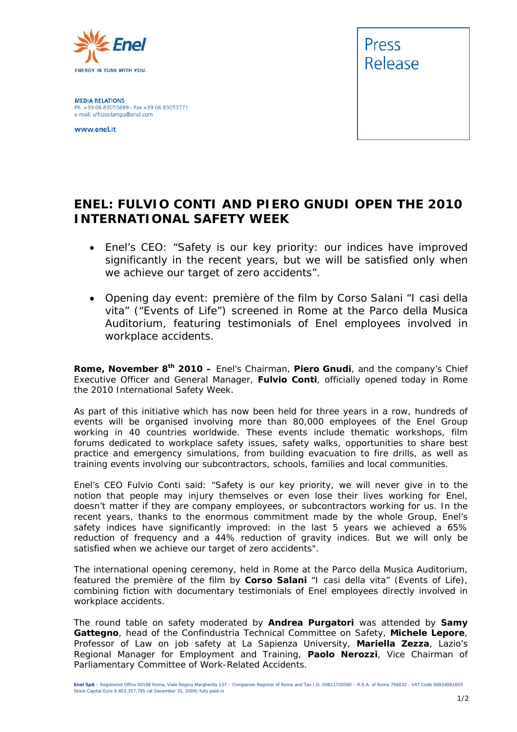

**MEDIA RELATIONS** Ph. +39 06 83055699 - Fax +39 06 83053771 e-mail: ufficiostampa@enel.com

www.enel.it



## **ENEL: FULVIO CONTI AND PIERO GNUDI OPEN THE 2010 INTERNATIONAL SAFETY WEEK**

- *Enel's CEO: "Safety is our key priority: our indices have improved significantly in the recent years, but we will be satisfied only when we achieve our target of zero accidents".*
- *Opening day event: première of the film by Corso Salani "I casi della vita" ("Events of Life") screened in Rome at the Parco della Musica Auditorium, featuring testimonials of Enel employees involved in workplace accidents.*

**Rome, November 8th 2010 –** Enel's Chairman, **Piero Gnudi**, and the company's Chief Executive Officer and General Manager, **Fulvio Conti**, officially opened today in Rome the 2010 International Safety Week.

As part of this initiative which has now been held for three years in a row, hundreds of events will be organised involving more than 80,000 employees of the Enel Group working in 40 countries worldwide. These events include thematic workshops, film forums dedicated to workplace safety issues, safety walks, opportunities to share best practice and emergency simulations, from building evacuation to fire drills, as well as training events involving our subcontractors, schools, families and local communities.

Enel's CEO Fulvio Conti said: "Safety is our key priority, we will never give in to the notion that people may injury themselves or even lose their lives working for Enel, doesn't matter if they are company employees, or subcontractors working for us. In the recent years, thanks to the enormous commitment made by the whole Group, Enel's safety indices have significantly improved: in the last 5 years we achieved a 65% reduction of frequency and a 44% reduction of gravity indices. But we will only be satisfied when we achieve our target of zero accidents".

The international opening ceremony, held in Rome at the Parco della Musica Auditorium, featured the première of the film by **Corso Salani** "I casi della vita" (Events of Life), combining fiction with documentary testimonials of Enel employees directly involved in workplace accidents.

The round table on safety moderated by **Andrea Purgatori** was attended by **Samy Gattegno**, head of the Confindustria Technical Committee on Safety, **Michele Lepore**, Professor of Law on job safety at La Sapienza University, **Mariella Zezza**, Lazio's Regional Manager for Employment and Training, **Paolo Nerozzi**, Vice Chairman of Parliamentary Committee of Work-Related Accidents.